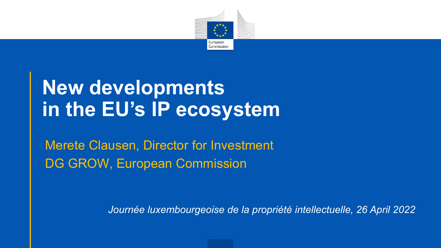

# **New developments in the EU's IP ecosystem**

Merete Clausen, Director for Investment DG GROW, European Commission

*Journée luxembourgeoise de la propriété intellectuelle, 26 April 2022*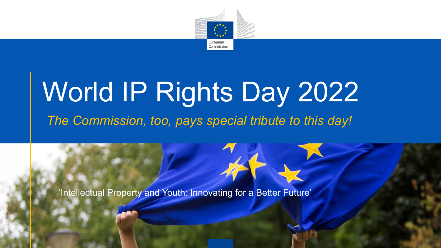

# World IP Rights Day 2022 *The Commission, too, pays special tribute to this day!*

'Intellectual Property and Youth: Innovating for a Better Future'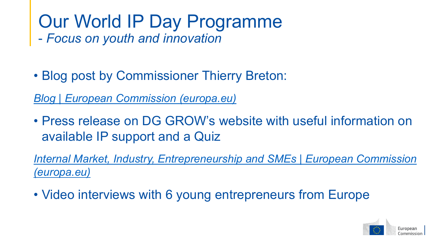# Our World IP Day Programme

- *Focus on youth and innovation*

• Blog post by Commissioner Thierry Breton:

*[Blog | European Commission \(europa.eu\)](https://ec.europa.eu/commission/commissioners/2019-2024/breton/blog_en?msclkid=ebe06aedc47c11eca56a9a1b92f81d5c)*

• Press release on DG GROW's website with useful information on available IP support and a Quiz

*[Internal Market, Industry, Entrepreneurship and SMEs | European Commission](https://ec.europa.eu/info/departments/internal-market-industry-entrepreneurship-and-smes_en?msclkid=374a348cc48111ecb96d3c3d8c28ac1c#latest) (europa.eu)*

• Video interviews with 6 young entrepreneurs from Europe

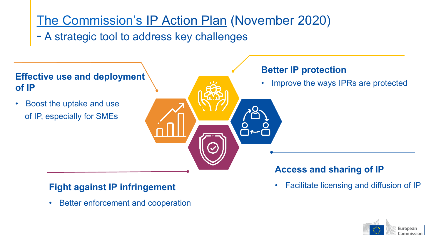### [The Commission's](https://eur-lex.europa.eu/legal-content/EN/ALL/?uri=CELEX:52020DC0760) IP Action Plan (November 2020)

- A strategic tool to address key challenges



• Better enforcement and cooperation

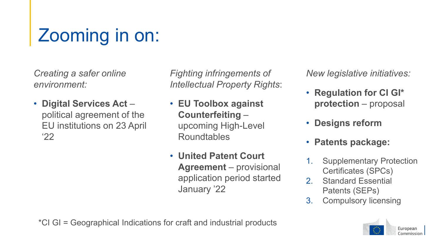# Zooming in on:

*Creating a safer online environment:*

• **Digital Services Act** – political agreement of the EU institutions on 23 April '22

*Fighting infringements of Intellectual Property Rights*:

- **EU Toolbox against Counterfeiting** – upcoming High-Level Roundtables
- **United Patent Court Agreement** – provisional application period started January '22

*New legislative initiatives:*

- **Regulation for CI GI\* protection** – proposal
- **Designs reform**
- **Patents package:**
- 1. Supplementary Protection Certificates (SPCs)
- 2. Standard Essential Patents (SEPs)
- 3. Compulsory licensing

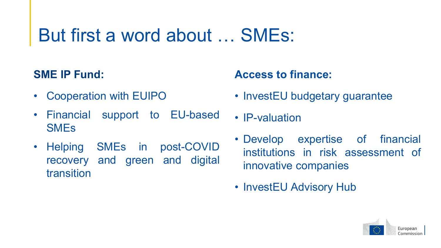## But first a word about … SMEs:

#### **SME IP Fund:**

- Cooperation with EUIPO
- Financial support to EU-based SMEs
- Helping SMEs in post-COVID recovery and green and digital transition

#### **Access to finance:**

- InvestEU budgetary guarantee
- IP-valuation
- Develop expertise of financial institutions in risk assessment of innovative companies
- InvestEU Advisory Hub

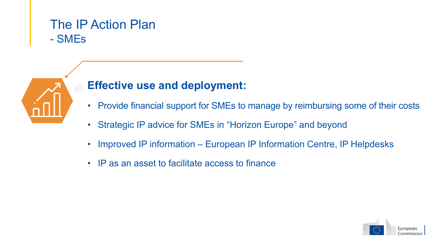#### The IP Action Plan - SMEs



- Provide financial support for SMEs to manage by reimbursing some of their costs
- Strategic IP advice for SMEs in "Horizon Europe" and beyond
- Improved IP information European IP Information Centre, IP Helpdesks
- IP as an asset to facilitate access to finance

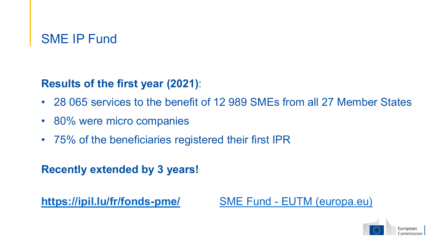#### SME IP Fund

**Results of the first year (2021)**:

- 28 065 services to the benefit of 12 989 SMEs from all 27 Member States
- 80% were micro companies
- 75% of the beneficiaries registered their first IPR

**Recently extended by 3 years!**

**<https://ipil.lu/fr/fonds-pme/>** SME Fund - [EUTM \(europa.eu\)](https://euipo.europa.eu/ohimportal/en/online-services/sme-fund?cmvsource=ipo-lu-web)

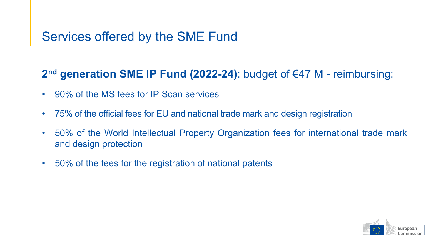#### Services offered by the SME Fund

#### **2nd generation SME IP Fund (2022-24)**: budget of €47 M - reimbursing:

- 90% of the MS fees for IP Scan services
- 75% of the official fees for EU and national trade mark and design registration
- 50% of the World Intellectual Property Organization fees for international trade mark and design protection
- 50% of the fees for the registration of national patents

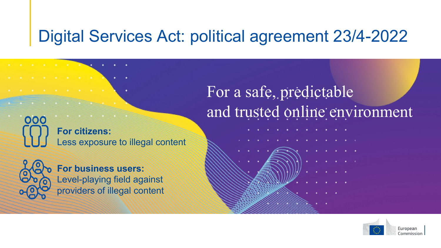## Digital Services Act: political agreement 23/4-2022

**For citizens:** Less exposure to illegal content



000

the company of the company of the company

 $\label{eq:2.1} \mathbf{a}^{\prime} = \mathbf{a}^{\prime} - \mathbf{a}^{\prime} = \mathbf{a}^{\prime} - \mathbf{a}^{\prime} = \mathbf{a}^{\prime} - \mathbf{a}^{\prime} = \mathbf{a}^{\prime} = \mathbf{a}^{\prime}$ 

**For business users:** Level-playing field against providers of illegal content For a safe, predictable and trusted online environment

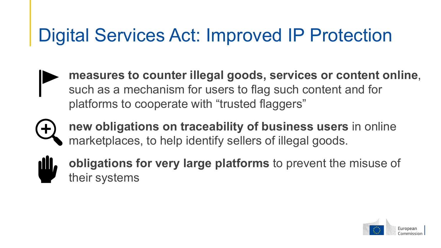## Digital Services Act: Improved IP Protection

- **measures to counter illegal goods, services or content online**, such as a mechanism for users to flag such content and for platforms to cooperate with "trusted flaggers"
- 
- **new obligations on traceability of business users** in online marketplaces, to help identify sellers of illegal goods.
- **dU,**
- **obligations for very large platforms** to prevent the misuse of their systems

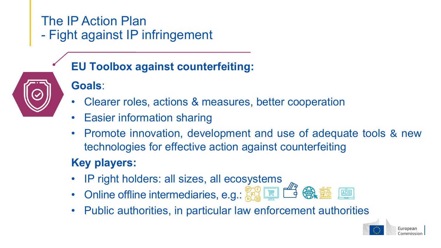#### The IP Action Plan - Fight against IP infringement

- **EU Toolbox against counterfeiting:**
- **Goals**:
- Clearer roles, actions & measures, better cooperation
- Easier information sharing
- Promote innovation, development and use of adequate tools & new technologies for effective action against counterfeiting

#### **Key players:**

- IP right holders: all sizes, all ecosystems
- Online offline intermediaries, e.g.:  $\mathbb{F}^6$   $\mathbb{F}$   $\mathbb{F}^6$   $\mathbb{F}$   $\mathbb{F}^6$
- Public authorities, in particular law enforcement authorities

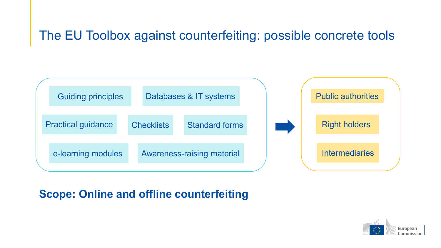#### The EU Toolbox against counterfeiting: possible concrete tools



#### **Scope: Online and offline counterfeiting**

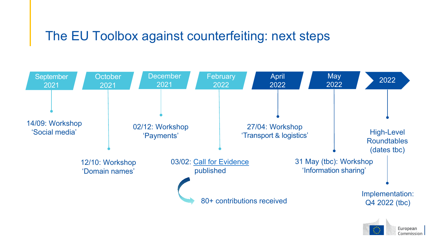#### The EU Toolbox against counterfeiting: next steps



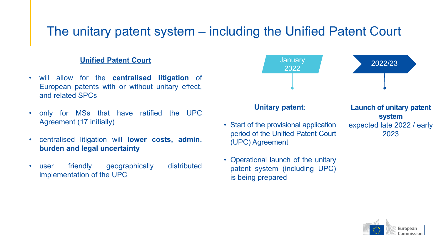#### The unitary patent system – including the Unified Patent Court

#### **Unified Patent Court**

- will allow for the **centralised litigation** of European patents with or without unitary effect, and related SPCs
- only for MSs that have ratified the UPC Agreement (17 initially)
- centralised litigation will **lower costs, admin. burden and legal uncertainty**
- user friendly geographically distributed implementation of the UPC



- Start of the provisional application period of the Unified Patent Court (UPC) Agreement
- Operational launch of the unitary patent system (including UPC) is being prepared

**system** expected late 2022 / early 2023

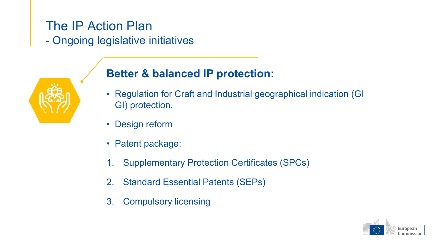#### The IP Action Plan - Ongoing legislative initiatives



#### **Better & balanced IP protection:**

- Regulation for Craft and Industrial geographical indication (GI GI) protection.
- Design reform
- Patent package:
- 1. Supplementary Protection Certificates (SPCs)
- 2. Standard Essential Patents (SEPs)
- 3. Compulsory licensing

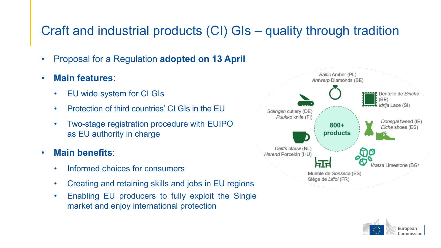#### Craft and industrial products (CI) GIs – quality through tradition

- Proposal for a Regulation **adopted on 13 April**
- **Main features**:
	- EU wide system for CI GIs
	- Protection of third countries' CI GIs in the EU
	- Two-stage registration procedure with EUIPO as EU authority in charge
- **Main benefits**:
	- Informed choices for consumers
	- Creating and retaining skills and jobs in EU regions
	- Enabling EU producers to fully exploit the Single market and enjoy international protection



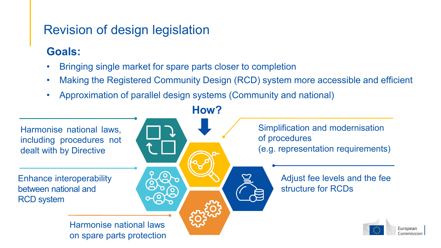#### Revision of design legislation

#### **Goals:**

- Bringing single market for spare parts closer to completion
- Making the Registered Community Design (RCD) system more accessible and efficient
- Approximation of parallel design systems (Community and national)

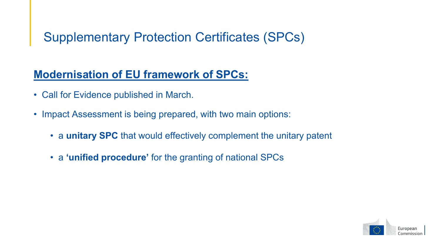#### Supplementary Protection Certificates (SPCs)

#### **Modernisation of EU framework of SPCs:**

- Call for Evidence published in March.
- Impact Assessment is being prepared, with two main options:
	- a **unitary SPC** that would effectively complement the unitary patent
	- a **'unified procedure'** for the granting of national SPCs

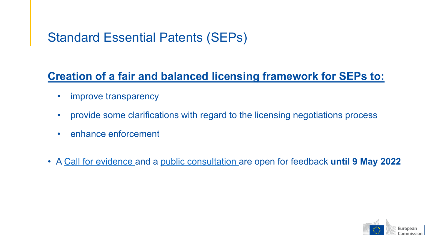#### Standard Essential Patents (SEPs)

#### **Creation of a fair and balanced licensing framework for SEPs to:**

- improve transparency
- provide some clarifications with regard to the licensing negotiations process
- enhance enforcement
- A Call for [evidence](https://ec.europa.eu/info/law/better-regulation/have-your-say/initiatives/13109-Intellectual-property-new-framework-for-standard-essential-patents_en) and a public [consultation](https://ec.europa.eu/info/law/better-regulation/have-your-say/initiatives/13109-Intellectual-property-new-framework-for-standard-essential-patents_en) are open for feedback **until 9 May 2022**

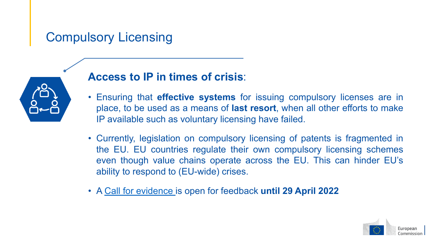#### Compulsory Licensing



#### **Access to IP in times of crisis**:

- Ensuring that **effective systems** for issuing compulsory licenses are in place, to be used as a means of **last resort**, when all other efforts to make IP available such as voluntary licensing have failed.
- Currently, legislation on compulsory licensing of patents is fragmented in the EU. EU countries regulate their own compulsory licensing schemes even though value chains operate across the EU. This can hinder EU's ability to respond to (EU-wide) crises.
- A Call for [evidence](https://ec.europa.eu/info/law/better-regulation/have-your-say/initiatives/13357-Intellectual-property-revised-framework-for-compulsory-licensing-of-patents_en) is open for feedback **until 29 April 2022**